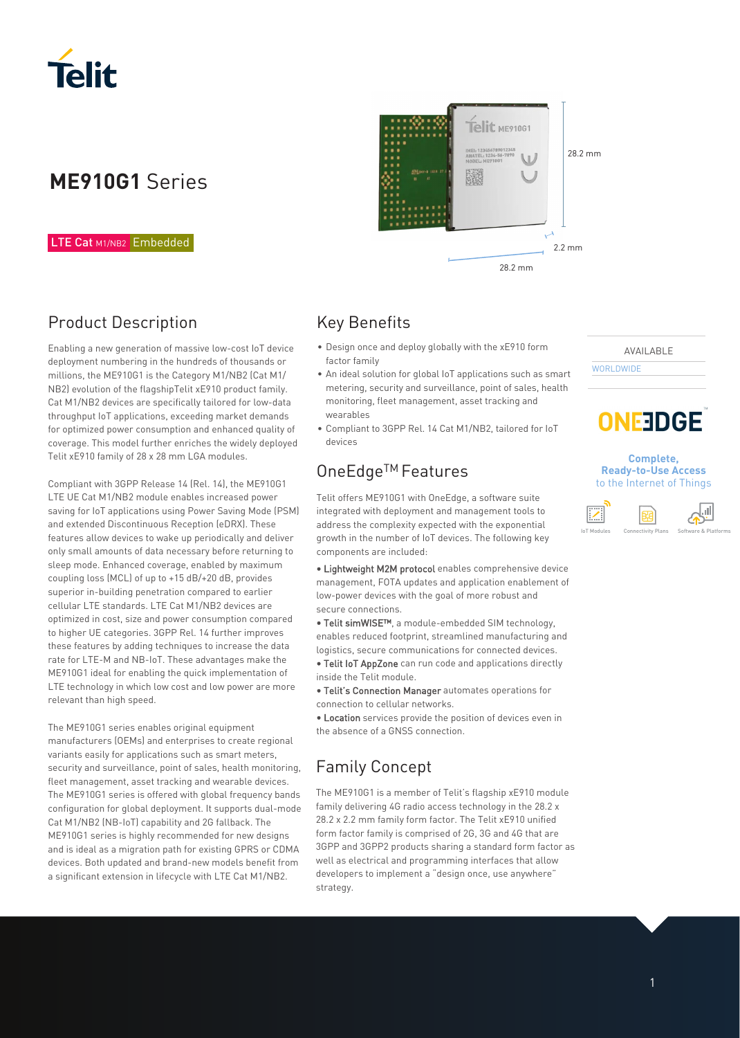

# **ME910G1** Series

#### LTE Cat M1/NB2 Embedded

## Product Description

Enabling a new generation of massive low-cost IoT device deployment numbering in the hundreds of thousands or millions, the ME910G1 is the Category M1/NB2 (Cat M1/ NB2) evolution of the flagshipTelit xE910 product family. Cat M1/NB2 devices are specifically tailored for low-data throughput IoT applications, exceeding market demands for optimized power consumption and enhanced quality of coverage. This model further enriches the widely deployed Telit xE910 family of 28 x 28 mm LGA modules.

Compliant with 3GPP Release 14 (Rel. 14), the ME910G1 LTE UE Cat M1/NB2 module enables increased power saving for IoT applications using Power Saving Mode (PSM) and extended Discontinuous Reception (eDRX). These features allow devices to wake up periodically and deliver only small amounts of data necessary before returning to sleep mode. Enhanced coverage, enabled by maximum coupling loss (MCL) of up to +15 dB/+20 dB, provides superior in-building penetration compared to earlier cellular LTE standards. LTE Cat M1/NB2 devices are optimized in cost, size and power consumption compared to higher UE categories. 3GPP Rel. 14 further improves these features by adding techniques to increase the data rate for LTE-M and NB-IoT. These advantages make the ME910G1 ideal for enabling the quick implementation of LTE technology in which low cost and low power are more relevant than high speed.

The ME910G1 series enables original equipment manufacturers (OEMs) and enterprises to create regional variants easily for applications such as smart meters, security and surveillance, point of sales, health monitoring, fleet management, asset tracking and wearable devices. The ME910G1 series is offered with global frequency bands configuration for global deployment. It supports dual-mode Cat M1/NB2 (NB-IoT) capability and 2G fallback. The ME910G1 series is highly recommended for new designs and is ideal as a migration path for existing GPRS or CDMA devices. Both updated and brand-new models benefit from a significant extension in lifecycle with LTE Cat M1/NB2.



#### Key Benefits

- Design once and deploy globally with the xE910 form factor family
- An ideal solution for global IoT applications such as smart metering, security and surveillance, point of sales, health monitoring, fleet management, asset tracking and wearables
- Compliant to 3GPP Rel. 14 Cat M1/NB2, tailored for IoT devices

#### OneEdge<sup>™</sup> Features

Telit offers ME910G1 with OneEdge, a software suite integrated with deployment and management tools to address the complexity expected with the exponential growth in the number of IoT devices. The following key components are included:

• Lightweight M2M protocol enables comprehensive device management, FOTA updates and application enablement of low-power devices with the goal of more robust and secure connections.

• Telit simWISE™, a module-embedded SIM technology, enables reduced footprint, streamlined manufacturing and logistics, secure communications for connected devices.

• Telit IoT AppZone can run code and applications directly inside the Telit module.

• Telit's Connection Manager automates operations for connection to cellular networks.

• Location services provide the position of devices even in the absence of a GNSS connection.

## Family Concept

The ME910G1 is a member of Telit's flagship xE910 module family delivering 4G radio access technology in the 28.2 x 28.2 x 2.2 mm family form factor. The Telit xE910 unified form factor family is comprised of 2G, 3G and 4G that are 3GPP and 3GPP2 products sharing a standard form factor as well as electrical and programming interfaces that allow developers to implement a "design once, use anywhere" strategy.

AVAILABLE **WORLDWIDE** 



#### **Complete, Ready-to-Use Access**  to the Internet of Things